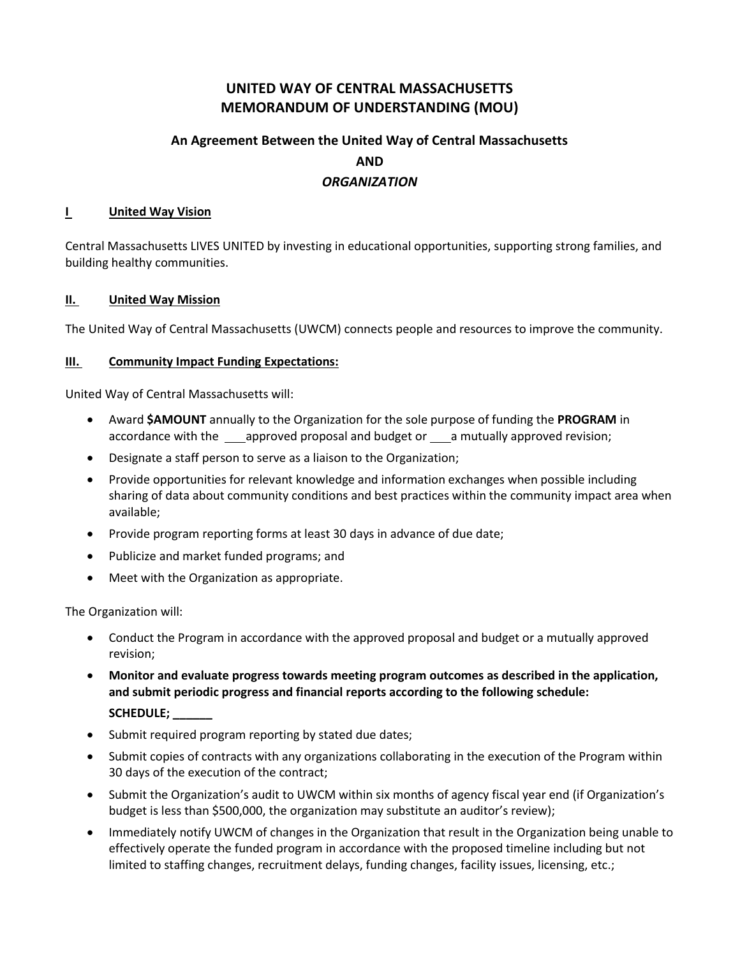## **UNITED WAY OF CENTRAL MASSACHUSETTS MEMORANDUM OF UNDERSTANDING (MOU)**

# **An Agreement Between the United Way of Central Massachusetts AND** *ORGANIZATION*

#### **I** United Way Vision

Central Massachusetts LIVES UNITED by investing in educational opportunities, supporting strong families, and building healthy communities.

#### **II. United Way Mission**

The United Way of Central Massachusetts (UWCM) connects people and resources to improve the community.

#### **III. Community Impact Funding Expectations:**

United Way of Central Massachusetts will:

- Award **\$AMOUNT** annually to the Organization for the sole purpose of funding the **PROGRAM** in accordance with the \_\_\_approved proposal and budget or \_\_\_a mutually approved revision;
- Designate a staff person to serve as a liaison to the Organization;
- Provide opportunities for relevant knowledge and information exchanges when possible including sharing of data about community conditions and best practices within the community impact area when available;
- Provide program reporting forms at least 30 days in advance of due date;
- Publicize and market funded programs; and
- Meet with the Organization as appropriate.

The Organization will:

- Conduct the Program in accordance with the approved proposal and budget or a mutually approved revision;
- **Monitor and evaluate progress towards meeting program outcomes as described in the application, and submit periodic progress and financial reports according to the following schedule: SCHEDULE; \_\_\_\_\_\_**
- Submit required program reporting by stated due dates;
- Submit copies of contracts with any organizations collaborating in the execution of the Program within 30 days of the execution of the contract;
- Submit the Organization's audit to UWCM within six months of agency fiscal year end (if Organization's budget is less than \$500,000, the organization may substitute an auditor's review);
- Immediately notify UWCM of changes in the Organization that result in the Organization being unable to effectively operate the funded program in accordance with the proposed timeline including but not limited to staffing changes, recruitment delays, funding changes, facility issues, licensing, etc.;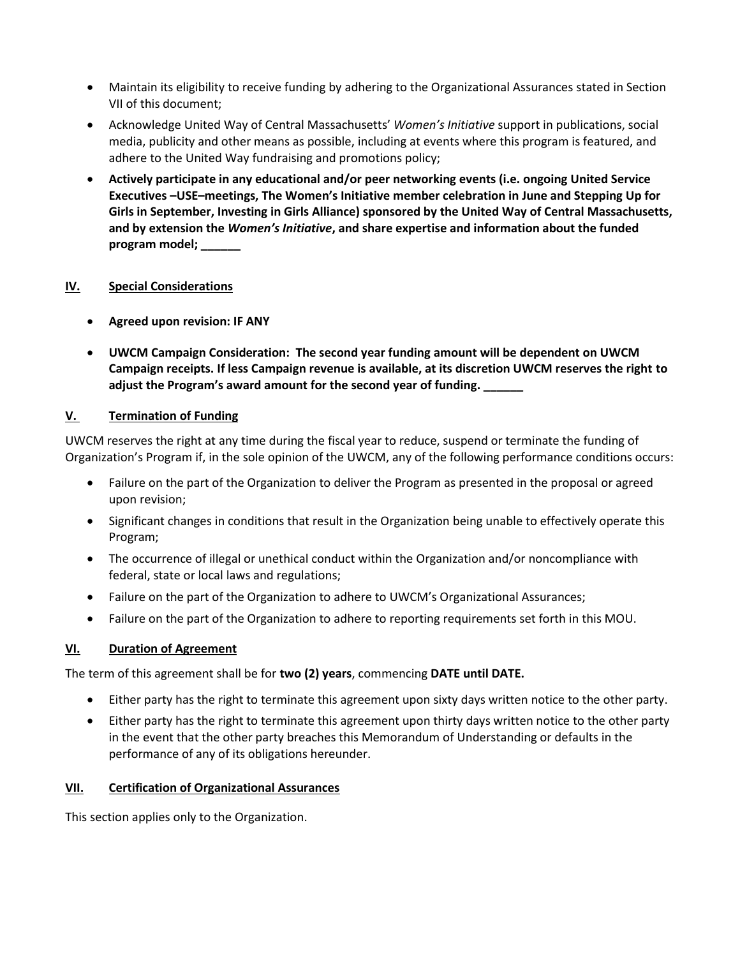- Maintain its eligibility to receive funding by adhering to the Organizational Assurances stated in Section VII of this document;
- Acknowledge United Way of Central Massachusetts' *Women's Initiative* support in publications, social media, publicity and other means as possible, including at events where this program is featured, and adhere to the United Way fundraising and promotions policy;
- **Actively participate in any educational and/or peer networking events (i.e. ongoing United Service Executives –USE–meetings, The Women's Initiative member celebration in June and Stepping Up for Girls in September, Investing in Girls Alliance) sponsored by the United Way of Central Massachusetts, and by extension the** *Women's Initiative***, and share expertise and information about the funded program model; \_\_\_\_\_\_**

## **IV. Special Considerations**

- **Agreed upon revision: IF ANY**
- **UWCM Campaign Consideration: The second year funding amount will be dependent on UWCM Campaign receipts. If less Campaign revenue is available, at its discretion UWCM reserves the right to adjust the Program's award amount for the second year of funding. \_\_\_\_\_\_**

## **V. Termination of Funding**

UWCM reserves the right at any time during the fiscal year to reduce, suspend or terminate the funding of Organization's Program if, in the sole opinion of the UWCM, any of the following performance conditions occurs:

- Failure on the part of the Organization to deliver the Program as presented in the proposal or agreed upon revision;
- Significant changes in conditions that result in the Organization being unable to effectively operate this Program;
- The occurrence of illegal or unethical conduct within the Organization and/or noncompliance with federal, state or local laws and regulations;
- Failure on the part of the Organization to adhere to UWCM's Organizational Assurances;
- Failure on the part of the Organization to adhere to reporting requirements set forth in this MOU.

## **VI. Duration of Agreement**

The term of this agreement shall be for **two (2) years**, commencing **DATE until DATE.**

- Either party has the right to terminate this agreement upon sixty days written notice to the other party.
- Either party has the right to terminate this agreement upon thirty days written notice to the other party in the event that the other party breaches this Memorandum of Understanding or defaults in the performance of any of its obligations hereunder.

#### **VII. Certification of Organizational Assurances**

This section applies only to the Organization.